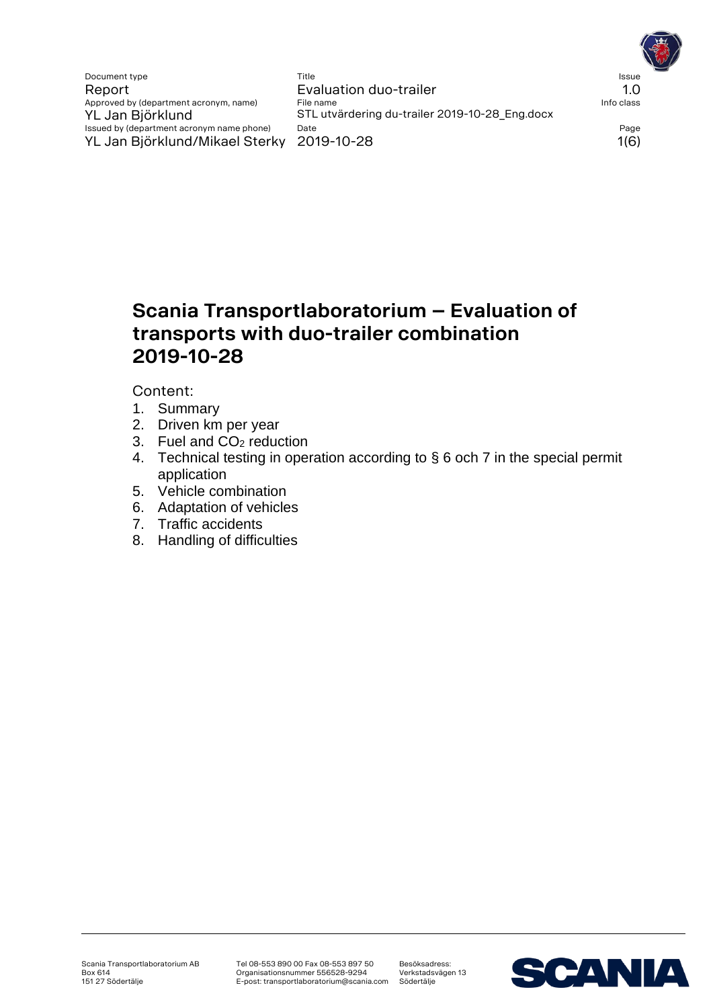Document type **Title** Title **The Issue Title** Issue **The Issue Issue Issue Issue Issue Issue** Report Evaluation duo-trailer en many discussed by department acronym, name) File name Approved by (department acronym, name) YL Jan Björklund STL utvärdering du-trailer 2019-10-28\_Eng.docx<br>Issued by (department acronym name phone) Date Issued by (department acronym name phone) Date Page YL Jan Björklund/Mikael Sterky 2019-10-28 1(6)

# **Scania Transportlaboratorium – Evaluation of transports with duo-trailer combination 2019-10-28**

Content:

- 1. Summary
- 2. Driven km per year
- 3. Fuel and CO<sup>2</sup> reduction
- 4. Technical testing in operation according to § 6 och 7 in the special permit application
- 5. Vehicle combination
- 6. Adaptation of vehicles
- 7. Traffic accidents
- 8. Handling of difficulties

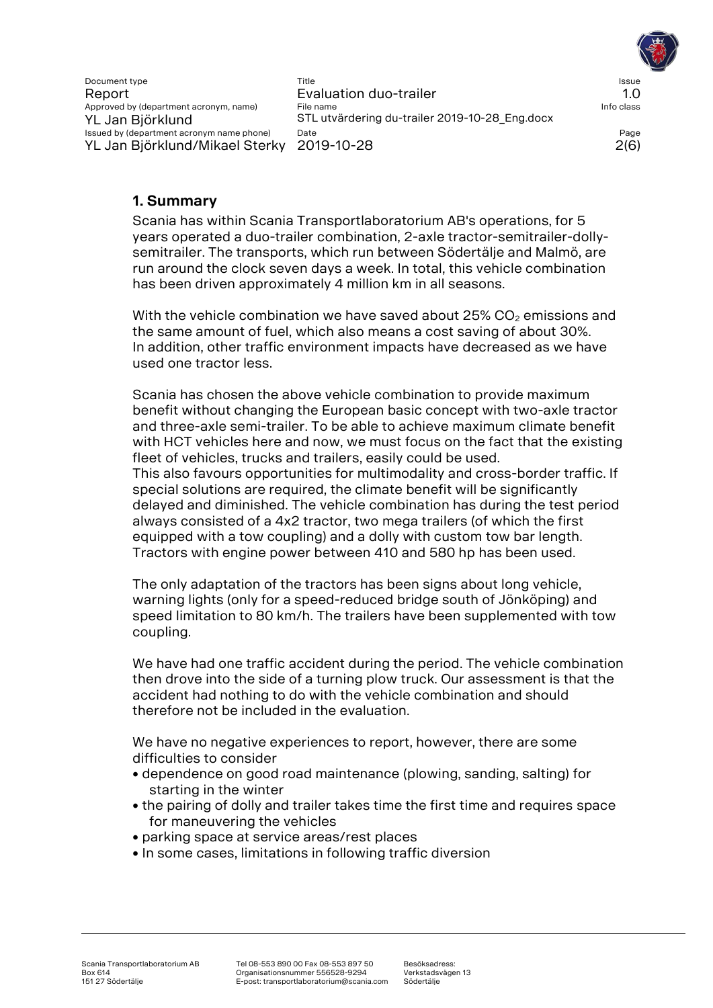Document type Title Issue Report Evaluation duo-trailer 1.0 Approved by (department acronym, name) File name Info class and Info class YL Jan Biörklund STL utvärdering du-trailer 2019-10-28\_Eng.docx Issued by (department acronym name phone) Date Page YL Jan Björklund/Mikael Sterky 2019-10-28 2(6)

# **1. Summary**

Scania has within Scania Transportlaboratorium AB's operations, for 5 years operated a duo-trailer combination, 2-axle tractor-semitrailer-dollysemitrailer. The transports, which run between Södertälje and Malmö, are run around the clock seven days a week. In total, this vehicle combination has been driven approximately 4 million km in all seasons.

With the vehicle combination we have saved about  $25\%$  CO<sub>2</sub> emissions and the same amount of fuel, which also means a cost saving of about 30%. In addition, other traffic environment impacts have decreased as we have used one tractor less.

Scania has chosen the above vehicle combination to provide maximum benefit without changing the European basic concept with two-axle tractor and three-axle semi-trailer. To be able to achieve maximum climate benefit with HCT vehicles here and now, we must focus on the fact that the existing fleet of vehicles, trucks and trailers, easily could be used. This also favours opportunities for multimodality and cross-border traffic. If special solutions are required, the climate benefit will be significantly delayed and diminished. The vehicle combination has during the test period always consisted of a 4x2 tractor, two mega trailers (of which the first equipped with a tow coupling) and a dolly with custom tow bar length. Tractors with engine power between 410 and 580 hp has been used.

The only adaptation of the tractors has been signs about long vehicle, warning lights (only for a speed-reduced bridge south of Jönköping) and speed limitation to 80 km/h. The trailers have been supplemented with tow coupling.

We have had one traffic accident during the period. The vehicle combination then drove into the side of a turning plow truck. Our assessment is that the accident had nothing to do with the vehicle combination and should therefore not be included in the evaluation.

We have no negative experiences to report, however, there are some difficulties to consider

- dependence on good road maintenance (plowing, sanding, salting) for starting in the winter
- the pairing of dolly and trailer takes time the first time and requires space for maneuvering the vehicles
- parking space at service areas/rest places
- In some cases, limitations in following traffic diversion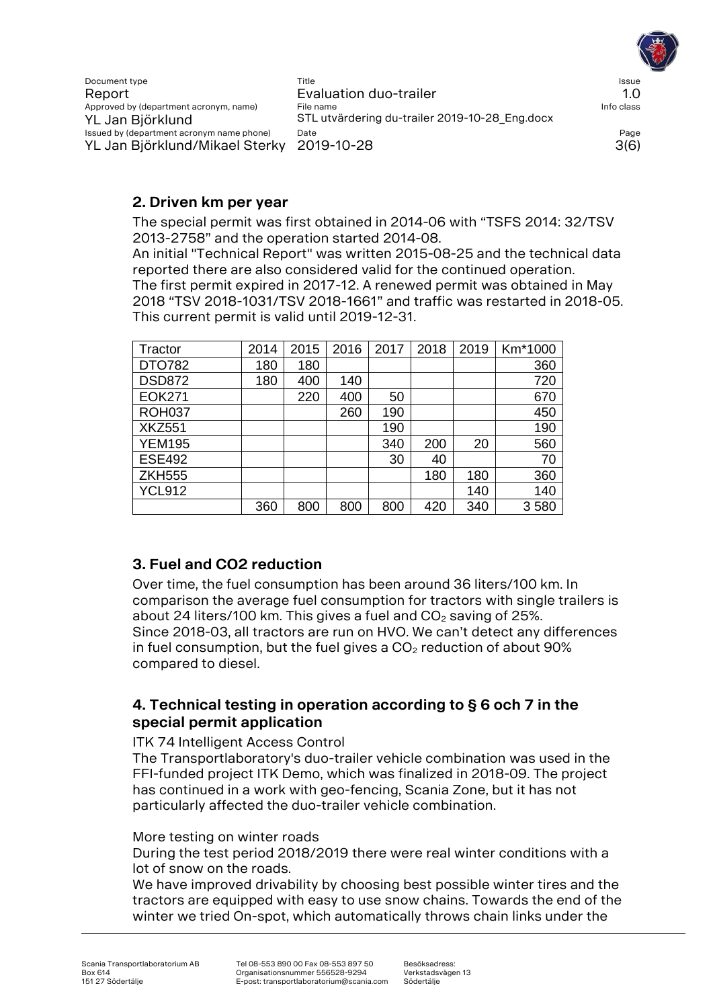

## **2. Driven km per year**

The special permit was first obtained in 2014-06 with "TSFS 2014: 32/TSV 2013-2758" and the operation started 2014-08.

An initial "Technical Report" was written 2015-08-25 and the technical data reported there are also considered valid for the continued operation. The first permit expired in 2017-12. A renewed permit was obtained in May 2018 "TSV 2018-1031/TSV 2018-1661" and traffic was restarted in 2018-05. This current permit is valid until 2019-12-31.

| Tractor       | 2014 | 2015 | 2016 | 2017 | 2018 | 2019 | Km*1000 |
|---------------|------|------|------|------|------|------|---------|
| DTO782        | 180  | 180  |      |      |      |      | 360     |
| <b>DSD872</b> | 180  | 400  | 140  |      |      |      | 720     |
| <b>EOK271</b> |      | 220  | 400  | 50   |      |      | 670     |
| <b>ROH037</b> |      |      | 260  | 190  |      |      | 450     |
| <b>XKZ551</b> |      |      |      | 190  |      |      | 190     |
| <b>YEM195</b> |      |      |      | 340  | 200  | 20   | 560     |
| <b>ESE492</b> |      |      |      | 30   | 40   |      | 70      |
| <b>ZKH555</b> |      |      |      |      | 180  | 180  | 360     |
| <b>YCL912</b> |      |      |      |      |      | 140  | 140     |
|               | 360  | 800  | 800  | 800  | 420  | 340  | 3580    |

# **3. Fuel and CO2 reduction**

Over time, the fuel consumption has been around 36 liters/100 km. In comparison the average fuel consumption for tractors with single trailers is about 24 liters/100 km. This gives a fuel and  $CO<sub>2</sub>$  saving of 25%. Since 2018-03, all tractors are run on HVO. We can't detect any differences in fuel consumption, but the fuel gives a  $CO<sub>2</sub>$  reduction of about 90% compared to diesel.

# **4. Technical testing in operation according to § 6 och 7 in the special permit application**

#### ITK 74 Intelligent Access Control

The Transportlaboratory's duo-trailer vehicle combination was used in the FFI-funded project ITK Demo, which was finalized in 2018-09. The project has continued in a work with geo-fencing, Scania Zone, but it has not particularly affected the duo-trailer vehicle combination.

#### More testing on winter roads

During the test period 2018/2019 there were real winter conditions with a lot of snow on the roads.

We have improved drivability by choosing best possible winter tires and the tractors are equipped with easy to use snow chains. Towards the end of the winter we tried On-spot, which automatically throws chain links under the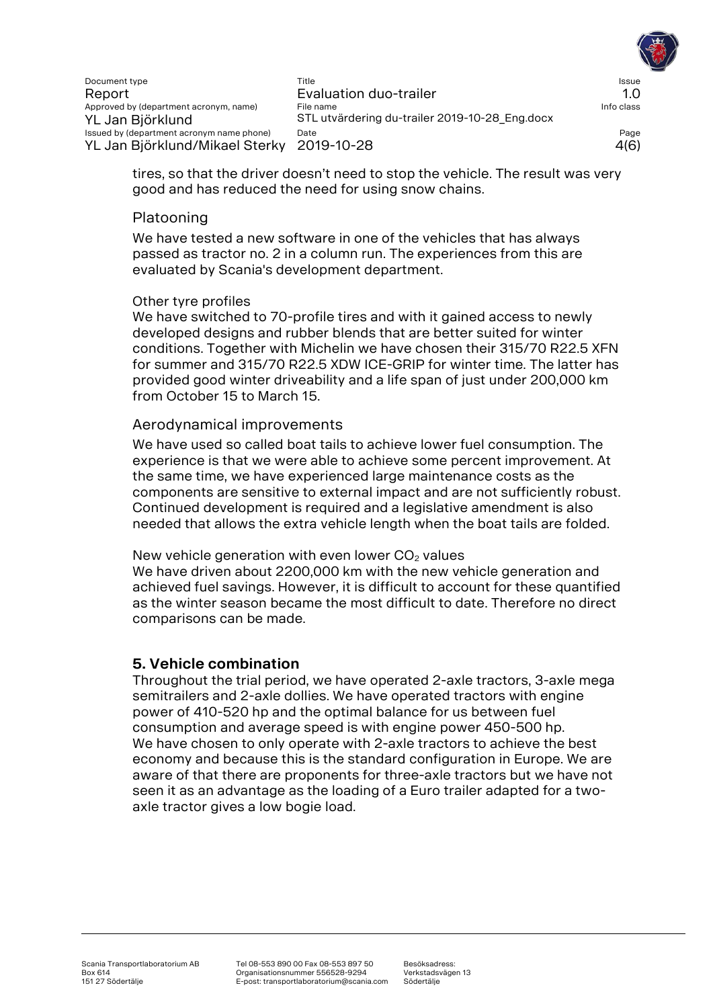

tires, so that the driver doesn't need to stop the vehicle. The result was very good and has reduced the need for using snow chains.

### Platooning

We have tested a new software in one of the vehicles that has always passed as tractor no. 2 in a column run. The experiences from this are evaluated by Scania's development department.

#### Other tyre profiles

We have switched to 70-profile tires and with it gained access to newly developed designs and rubber blends that are better suited for winter conditions. Together with Michelin we have chosen their 315/70 R22.5 XFN for summer and 315/70 R22.5 XDW ICE-GRIP for winter time. The latter has provided good winter driveability and a life span of just under 200,000 km from October 15 to March 15.

#### Aerodynamical improvements

We have used so called boat tails to achieve lower fuel consumption. The experience is that we were able to achieve some percent improvement. At the same time, we have experienced large maintenance costs as the components are sensitive to external impact and are not sufficiently robust. Continued development is required and a legislative amendment is also needed that allows the extra vehicle length when the boat tails are folded.

New vehicle generation with even lower  $CO<sub>2</sub>$  values

We have driven about 2200,000 km with the new vehicle generation and achieved fuel savings. However, it is difficult to account for these quantified as the winter season became the most difficult to date. Therefore no direct comparisons can be made.

#### **5. Vehicle combination**

Throughout the trial period, we have operated 2-axle tractors, 3-axle mega semitrailers and 2-axle dollies. We have operated tractors with engine power of 410-520 hp and the optimal balance for us between fuel consumption and average speed is with engine power 450-500 hp. We have chosen to only operate with 2-axle tractors to achieve the best economy and because this is the standard configuration in Europe. We are aware of that there are proponents for three-axle tractors but we have not seen it as an advantage as the loading of a Euro trailer adapted for a twoaxle tractor gives a low bogie load.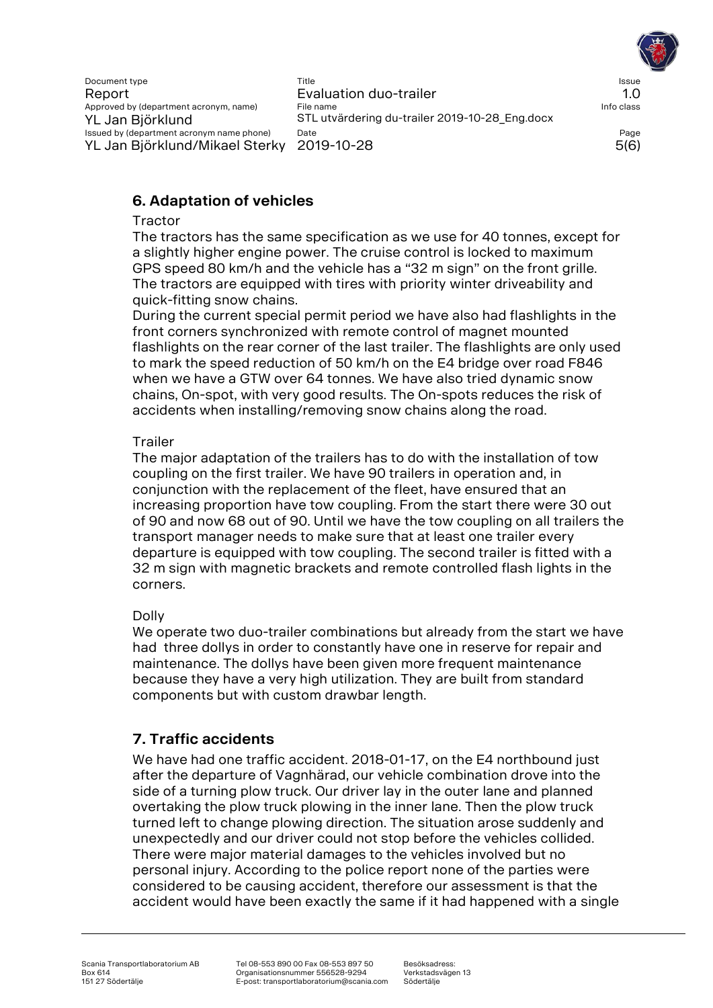Document type Title Issue Report Evaluation duo-trailer 1.0 Approved by (department acronym, name) File name Info class and Info class YL Jan Björklund STL utvärdering du-trailer 2019-10-28\_Eng.docx Issued by (department acronym name phone) Date Page YL Jan Björklund/Mikael Sterky 2019-10-28 5(6)

# **6. Adaptation of vehicles**

#### **Tractor**

The tractors has the same specification as we use for 40 tonnes, except for a slightly higher engine power. The cruise control is locked to maximum GPS speed 80 km/h and the vehicle has a "32 m sign" on the front grille. The tractors are equipped with tires with priority winter driveability and quick-fitting snow chains.

During the current special permit period we have also had flashlights in the front corners synchronized with remote control of magnet mounted flashlights on the rear corner of the last trailer. The flashlights are only used to mark the speed reduction of 50 km/h on the E4 bridge over road F846 when we have a GTW over 64 tonnes. We have also tried dynamic snow chains, On-spot, with very good results. The On-spots reduces the risk of accidents when installing/removing snow chains along the road.

### **Trailer**

The major adaptation of the trailers has to do with the installation of tow coupling on the first trailer. We have 90 trailers in operation and, in conjunction with the replacement of the fleet, have ensured that an increasing proportion have tow coupling. From the start there were 30 out of 90 and now 68 out of 90. Until we have the tow coupling on all trailers the transport manager needs to make sure that at least one trailer every departure is equipped with tow coupling. The second trailer is fitted with a 32 m sign with magnetic brackets and remote controlled flash lights in the corners.

### Dolly

We operate two duo-trailer combinations but already from the start we have had three dollys in order to constantly have one in reserve for repair and maintenance. The dollys have been given more frequent maintenance because they have a very high utilization. They are built from standard components but with custom drawbar length.

# **7. Traffic accidents**

We have had one traffic accident. 2018-01-17, on the E4 northbound just after the departure of Vagnhärad, our vehicle combination drove into the side of a turning plow truck. Our driver lay in the outer lane and planned overtaking the plow truck plowing in the inner lane. Then the plow truck turned left to change plowing direction. The situation arose suddenly and unexpectedly and our driver could not stop before the vehicles collided. There were major material damages to the vehicles involved but no personal injury. According to the police report none of the parties were considered to be causing accident, therefore our assessment is that the accident would have been exactly the same if it had happened with a single

Tel 08-553 890 00 Fax 08-553 897 50 Organisationsnummer 556528-9294 E-post: transportlaboratorium@scania.com

Besöksadress: Verkstadsvägen 13 Södertälje